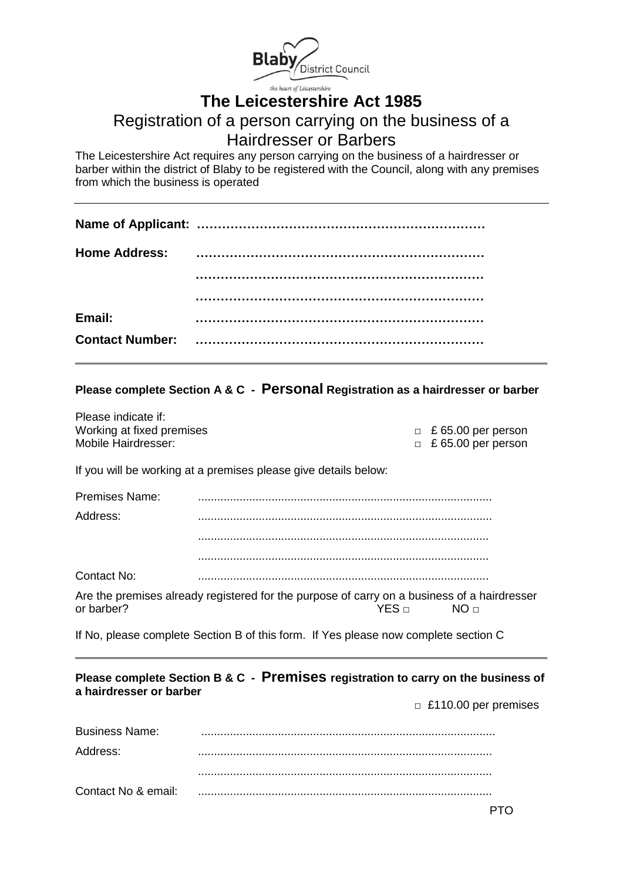

# **The Leicestershire Act 1985**

## Registration of a person carrying on the business of a Hairdresser or Barbers

The Leicestershire Act requires any person carrying on the business of a hairdresser or barber within the district of Blaby to be registered with the Council, along with any premises from which the business is operated

| Email: |  |
|--------|--|
|        |  |

## **Please complete Section A & C - Personal Registration as a hairdresser or barber**

| Please indicate if:       |                           |
|---------------------------|---------------------------|
| Working at fixed premises | $\Box$ £ 65.00 per person |
| Mobile Hairdresser:       | $\Box$ £ 65.00 per person |

If you will be working at a premises please give details below:

Please indicate if:

| <b>Premises Name:</b> |                                                                                         |
|-----------------------|-----------------------------------------------------------------------------------------|
| Address:              |                                                                                         |
|                       |                                                                                         |
|                       |                                                                                         |
| Contact No:           |                                                                                         |
|                       | Are the premises already registered for the purpose of carry on a business of a hairdre |

Are the premises already registered for the purpose of carry on a business of a hairdresser<br>or barber?<br>NO  $\Box$ YES □ NO □

If No, please complete Section B of this form. If Yes please now complete section C

## **Please complete Section B & C - Premises registration to carry on the business of a hairdresser or barber**

 **□** £110.00 per premises

| <b>Business Name:</b> |  |
|-----------------------|--|
| Address:              |  |
|                       |  |
| Contact No & email:   |  |